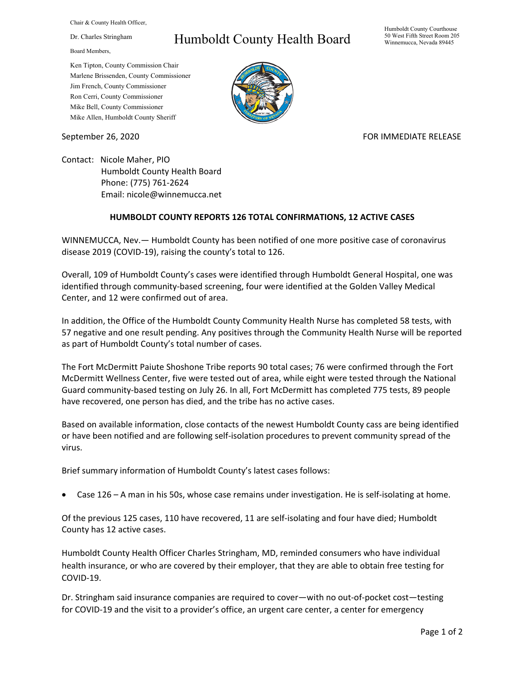Chair & County Health Officer,

Dr. Charles Stringham

Board Members,

## Humboldt County Health Board

Humboldt County Courthouse 50 West Fifth Street Room 205 Winnemucca, Nevada 89445

Ken Tipton, County Commission Chair Marlene Brissenden, County Commissioner Jim French, County Commissioner Ron Cerri, County Commissioner Mike Bell, County Commissioner Mike Allen, Humboldt County Sheriff

September 26, 2020 FOR IMMEDIATE RELEASE

Contact: Nicole Maher, PIO Humboldt County Health Board Phone: (775) 761‐2624 Email: nicole@winnemucca.net

## **HUMBOLDT COUNTY REPORTS 126 TOTAL CONFIRMATIONS, 12 ACTIVE CASES**

WINNEMUCCA, Nev.— Humboldt County has been notified of one more positive case of coronavirus disease 2019 (COVID‐19), raising the county's total to 126.

Overall, 109 of Humboldt County's cases were identified through Humboldt General Hospital, one was identified through community-based screening, four were identified at the Golden Valley Medical Center, and 12 were confirmed out of area.

In addition, the Office of the Humboldt County Community Health Nurse has completed 58 tests, with 57 negative and one result pending. Any positives through the Community Health Nurse will be reported as part of Humboldt County's total number of cases.

The Fort McDermitt Paiute Shoshone Tribe reports 90 total cases; 76 were confirmed through the Fort McDermitt Wellness Center, five were tested out of area, while eight were tested through the National Guard community‐based testing on July 26. In all, Fort McDermitt has completed 775 tests, 89 people have recovered, one person has died, and the tribe has no active cases.

Based on available information, close contacts of the newest Humboldt County cass are being identified or have been notified and are following self‐isolation procedures to prevent community spread of the virus.

Brief summary information of Humboldt County's latest cases follows:

Case 126 – A man in his 50s, whose case remains under investigation. He is self‐isolating at home.

Of the previous 125 cases, 110 have recovered, 11 are self‐isolating and four have died; Humboldt County has 12 active cases.

Humboldt County Health Officer Charles Stringham, MD, reminded consumers who have individual health insurance, or who are covered by their employer, that they are able to obtain free testing for COVID‐19.

Dr. Stringham said insurance companies are required to cover—with no out‐of‐pocket cost—testing for COVID‐19 and the visit to a provider's office, an urgent care center, a center for emergency